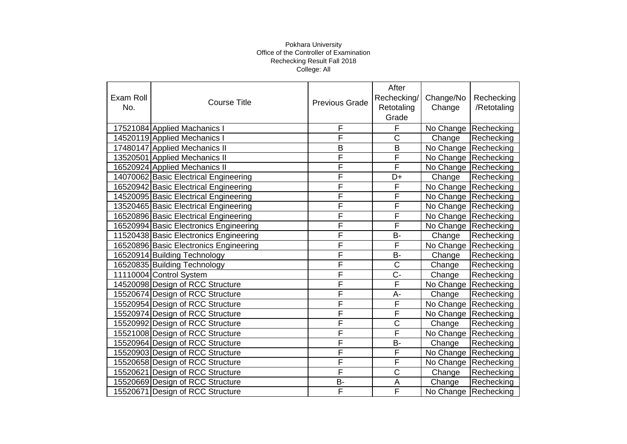|           |                                        |                       | After                   |                        |             |
|-----------|----------------------------------------|-----------------------|-------------------------|------------------------|-------------|
| Exam Roll | <b>Course Title</b>                    | <b>Previous Grade</b> | Rechecking/             | Change/No              | Rechecking  |
| No.       |                                        |                       | Retotaling              | Change                 | /Retotaling |
|           |                                        |                       | Grade                   |                        |             |
|           | 17521084 Applied Machanics I           | F                     | F                       | No Change Rechecking   |             |
|           | 14520119 Applied Mechanics I           | F                     | $\overline{\text{c}}$   | Change                 | Rechecking  |
|           | 17480147 Applied Mechanics II          | B                     | B                       | No Change Rechecking   |             |
|           | 13520501 Applied Mechanics II          | F                     | $\overline{\mathsf{F}}$ | No Change Rechecking   |             |
|           | 16520924 Applied Mechanics II          | F                     | F                       | No Change Rechecking   |             |
|           | 14070062 Basic Electrical Engineering  | F                     | D+                      | Change                 | Rechecking  |
|           | 16520942 Basic Electrical Engineering  | F                     | F                       | No Change Rechecking   |             |
|           | 14520095 Basic Electrical Engineering  | F                     | F                       | No Change Rechecking   |             |
|           | 13520465 Basic Electrical Engineering  | F                     | F                       | No Change   Rechecking |             |
|           | 16520896 Basic Electrical Engineering  | F                     | $\overline{F}$          | No Change Rechecking   |             |
|           | 16520994 Basic Electronics Engineering | F                     | F                       | No Change Rechecking   |             |
|           | 11520438 Basic Electronics Engineering | F                     | <b>B-</b>               | Change                 | Rechecking  |
|           | 16520896 Basic Electronics Engineering | F                     | F                       | No Change Rechecking   |             |
|           | 16520914 Building Technology           | F                     | <b>B-</b>               | Change                 | Rechecking  |
|           | 16520835 Building Technology           | F                     | C                       | Change                 | Rechecking  |
|           | 11110004 Control System                | F                     | $C -$                   | Change                 | Rechecking  |
|           | 14520098 Design of RCC Structure       | F                     | $\overline{\mathsf{F}}$ | No Change              | Rechecking  |
|           | 15520674 Design of RCC Structure       | F                     | A-                      | Change                 | Rechecking  |
|           | 15520954 Design of RCC Structure       | F                     | F                       | No Change Rechecking   |             |
|           | 15520974 Design of RCC Structure       | F                     | F                       | No Change Rechecking   |             |
|           | 15520992 Design of RCC Structure       | F                     | $\mathsf C$             | Change                 | Rechecking  |
|           | 15521008 Design of RCC Structure       | F                     | F                       | No Change              | Rechecking  |
|           | 15520964 Design of RCC Structure       | F                     | <b>B-</b>               | Change                 | Rechecking  |
|           | 15520903 Design of RCC Structure       | F                     | F                       | No Change              | Rechecking  |
|           | 15520658 Design of RCC Structure       | F                     | $\overline{F}$          | No Change Rechecking   |             |
|           | 15520621 Design of RCC Structure       | F                     | $\overline{\text{c}}$   | Change                 | Rechecking  |
|           | 15520669 Design of RCC Structure       | <b>B-</b>             | A                       | Change                 | Rechecking  |
|           | 15520671 Design of RCC Structure       | F                     | $\overline{\mathsf{F}}$ | No Change Rechecking   |             |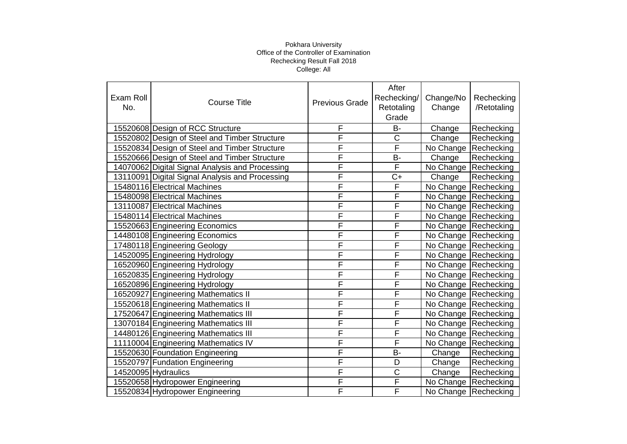|           |                                                 |                       | After                   |           |                        |
|-----------|-------------------------------------------------|-----------------------|-------------------------|-----------|------------------------|
| Exam Roll | <b>Course Title</b>                             | <b>Previous Grade</b> | Rechecking/             | Change/No | Rechecking             |
| No.       |                                                 |                       | Retotaling              | Change    | /Retotaling            |
|           |                                                 |                       | Grade                   |           |                        |
|           | 15520608 Design of RCC Structure                | F                     | <b>B-</b>               | Change    | Rechecking             |
|           | 15520802 Design of Steel and Timber Structure   | F                     | $\overline{\text{C}}$   | Change    | Rechecking             |
|           | 15520834 Design of Steel and Timber Structure   | F                     | $\overline{F}$          | No Change | Rechecking             |
|           | 15520666 Design of Steel and Timber Structure   | F                     | <b>B-</b>               | Change    | Rechecking             |
|           | 14070062 Digital Signal Analysis and Processing | F                     | F                       |           | No Change Rechecking   |
|           | 13110091 Digital Signal Analysis and Processing | F                     | $C+$                    | Change    | Rechecking             |
|           | 15480116 Electrical Machines                    | F                     | $\mathsf F$             |           | No Change Rechecking   |
|           | 15480098 Electrical Machines                    | F                     | F                       |           | No Change Rechecking   |
|           | 13110087 Electrical Machines                    | F                     | F                       |           | No Change Rechecking   |
|           | 15480114 Electrical Machines                    | F                     | F                       |           | No Change Rechecking   |
|           | 15520663 Engineering Economics                  | F                     | F                       |           | No Change Rechecking   |
|           | 14480108 Engineering Economics                  | F                     | F                       |           | No Change Rechecking   |
|           | 17480118 Engineering Geology                    | F                     | F                       |           | No Change Rechecking   |
|           | 14520095 Engineering Hydrology                  | F                     | F                       |           | No Change Rechecking   |
|           | 16520960 Engineering Hydrology                  | F                     | F                       |           | No Change Rechecking   |
|           | 16520835 Engineering Hydrology                  | F                     | F                       |           | No Change Rechecking   |
|           | 16520896 Engineering Hydrology                  | F                     | F                       |           | No Change Rechecking   |
|           | 16520927 Engineering Mathematics II             | F                     | F                       |           | No Change   Rechecking |
|           | 15520618 Engineering Mathematics II             | F                     | F                       |           | No Change Rechecking   |
|           | 17520647 Engineering Mathematics III            | F                     | F                       |           | No Change Rechecking   |
|           | 13070184 Engineering Mathematics III            | F                     | F                       |           | No Change Rechecking   |
|           | 14480126 Engineering Mathematics III            | F                     | F                       |           | No Change Rechecking   |
|           | 11110004 Engineering Mathematics IV             | F                     | F                       |           | No Change Rechecking   |
|           | 15520630 Foundation Engineering                 | F                     | <b>B-</b>               | Change    | Rechecking             |
|           | 15520797 Fundation Engineering                  | F                     | D                       | Change    | Rechecking             |
|           | 14520095 Hydraulics                             | F                     | $\mathsf C$             | Change    | Rechecking             |
|           | 15520658 Hydropower Engineering                 | F                     | $\overline{\mathsf{F}}$ |           | No Change Rechecking   |
|           | 15520834 Hydropower Engineering                 | F                     | F                       |           | No Change Rechecking   |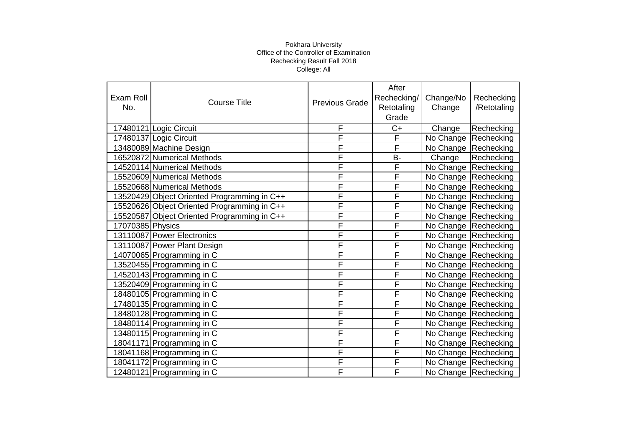| Exam Roll<br>No. | <b>Course Title</b>                         | <b>Previous Grade</b> | After<br>Rechecking/<br>Retotaling<br>Grade | Change/No<br>Change  | Rechecking<br>/Retotaling |
|------------------|---------------------------------------------|-----------------------|---------------------------------------------|----------------------|---------------------------|
|                  | 17480121 Logic Circuit                      | F                     | $C+$                                        | Change               | Rechecking                |
|                  | 17480137 Logic Circuit                      | F                     | F                                           | No Change            | Rechecking                |
|                  | 13480089 Machine Design                     | F                     | F                                           |                      | No Change Rechecking      |
|                  | 16520872 Numerical Methods                  | F                     | <b>B-</b>                                   | Change               | Rechecking                |
|                  | 14520114 Numerical Methods                  | F                     | F                                           |                      | No Change Rechecking      |
|                  | 15520609 Numerical Methods                  | F                     | F                                           |                      | No Change Rechecking      |
|                  | 15520668 Numerical Methods                  | F                     | F                                           |                      | No Change Rechecking      |
|                  | 13520429 Object Oriented Programming in C++ | F                     | F                                           |                      | No Change Rechecking      |
|                  | 15520626 Object Oriented Programming in C++ | F                     | F                                           |                      | No Change Rechecking      |
|                  | 15520587 Object Oriented Programming in C++ | F                     | F                                           |                      | No Change Rechecking      |
| 17070385 Physics |                                             | F                     | F                                           |                      | No Change Rechecking      |
|                  | 13110087 Power Electronics                  | F                     | F                                           | No Change Rechecking |                           |
|                  | 13110087 Power Plant Design                 | F                     | F                                           |                      | No Change Rechecking      |
|                  | 14070065 Programming in C                   | F                     | F                                           | No Change Rechecking |                           |
|                  | 13520455 Programming in C                   | F                     | F                                           |                      | No Change Rechecking      |
|                  | 14520143 Programming in C                   | F                     | F                                           | No Change Rechecking |                           |
|                  | 13520409 Programming in C                   | F                     | F                                           |                      | No Change Rechecking      |
|                  | 18480105 Programming in C                   | F                     | F                                           | No Change Rechecking |                           |
|                  | 17480135 Programming in C                   | F                     | $\mathsf{F}$                                |                      | No Change Rechecking      |
|                  | 18480128 Programming in C                   | F                     | F                                           |                      | No Change Rechecking      |
|                  | 18480114 Programming in C                   | F                     | F                                           |                      | No Change Rechecking      |
|                  | 13480115 Programming in C                   | F                     | F                                           |                      | No Change Rechecking      |
|                  | 18041171 Programming in C                   | F                     | F                                           |                      | No Change Rechecking      |
|                  | 18041168 Programming in C                   | F                     | F                                           | No Change Rechecking |                           |
|                  | 18041172 Programming in C                   | F                     | F                                           |                      | No Change Rechecking      |
|                  | 12480121 Programming in C                   | F                     | F                                           |                      | No Change Rechecking      |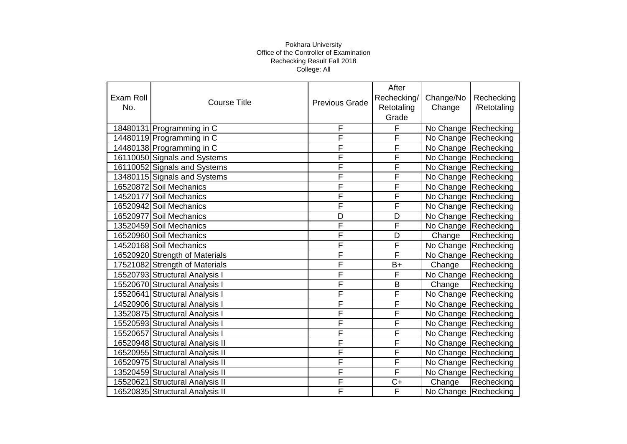|           |                                 |                       | After                   |                        |                      |
|-----------|---------------------------------|-----------------------|-------------------------|------------------------|----------------------|
| Exam Roll | <b>Course Title</b>             | <b>Previous Grade</b> | Rechecking/             | Change/No              | Rechecking           |
| No.       |                                 |                       | Retotaling              | Change                 | /Retotaling          |
|           |                                 |                       | Grade                   |                        |                      |
|           | 18480131 Programming in C       | F                     | F                       | No Change Rechecking   |                      |
|           | 14480119 Programming in C       | F                     | F                       | No Change Rechecking   |                      |
|           | 14480138 Programming in C       | F                     | F                       | No Change Rechecking   |                      |
|           | 16110050 Signals and Systems    | F                     | F                       | No Change Rechecking   |                      |
|           | 16110052 Signals and Systems    | F                     | F                       | No Change   Rechecking |                      |
|           | 13480115 Signals and Systems    | F                     | F                       | No Change Rechecking   |                      |
|           | 16520872 Soil Mechanics         | F                     | $\overline{\mathsf{F}}$ | No Change Rechecking   |                      |
|           | 14520177 Soil Mechanics         | F                     | F                       | No Change Rechecking   |                      |
|           | 16520942 Soil Mechanics         | F                     | F                       |                        | No Change Rechecking |
|           | 16520977 Soil Mechanics         | D                     | D                       | No Change Rechecking   |                      |
|           | 13520459 Soil Mechanics         | F                     | F                       | No Change Rechecking   |                      |
|           | 16520960 Soil Mechanics         | F                     | D                       | Change                 | Rechecking           |
|           | 14520168 Soil Mechanics         | F                     | $\overline{\mathsf{F}}$ | No Change Rechecking   |                      |
|           | 16520920 Strength of Materials  | F                     | F                       | No Change Rechecking   |                      |
|           | 17521082 Strength of Materials  | F                     | $B+$                    | Change                 | Rechecking           |
|           | 15520793 Structural Analysis I  | F                     | F                       | No Change Rechecking   |                      |
|           | 15520670 Structural Analysis I  | F                     | B                       | Change                 | Rechecking           |
|           | 15520641 Structural Analysis I  | F                     | F                       | No Change Rechecking   |                      |
|           | 14520906 Structural Analysis I  | F                     | $\overline{\mathsf{F}}$ | No Change Rechecking   |                      |
|           | 13520875 Structural Analysis I  | F                     | F                       | No Change Rechecking   |                      |
|           | 15520593 Structural Analysis I  | F                     | F                       | No Change Rechecking   |                      |
|           | 15520657 Structural Analysis I  | F                     | F                       | No Change Rechecking   |                      |
|           | 16520948 Structural Analysis II | F                     | F                       | No Change Rechecking   |                      |
|           | 16520955 Structural Analysis II | F                     | F                       | No Change Rechecking   |                      |
|           | 16520975 Structural Analysis II | F                     | $\overline{\mathsf{F}}$ | No Change Rechecking   |                      |
|           | 13520459 Structural Analysis II | F                     | $\overline{\mathsf{F}}$ | No Change Rechecking   |                      |
|           | 15520621 Structural Analysis II | F                     | $C+$                    | Change                 | Rechecking           |
|           | 16520835 Structural Analysis II | F                     | F                       |                        | No Change Rechecking |